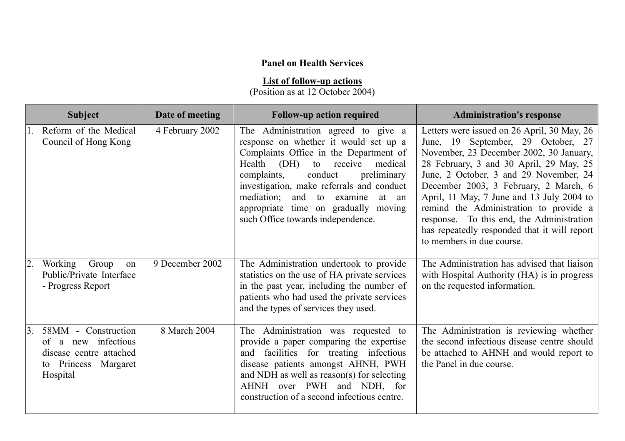## **Panel on Health Services**

## **List of follow-up actions**

(Position as at 12 October 2004)

| <b>Subject</b>                                                                                                                | Date of meeting | <b>Follow-up action required</b>                                                                                                                                                                                                                                                                                                                                                 | <b>Administration's response</b>                                                                                                                                                                                                                                                                                                                                                                                                                                            |
|-------------------------------------------------------------------------------------------------------------------------------|-----------------|----------------------------------------------------------------------------------------------------------------------------------------------------------------------------------------------------------------------------------------------------------------------------------------------------------------------------------------------------------------------------------|-----------------------------------------------------------------------------------------------------------------------------------------------------------------------------------------------------------------------------------------------------------------------------------------------------------------------------------------------------------------------------------------------------------------------------------------------------------------------------|
| Reform of the Medical<br>Council of Hong Kong                                                                                 | 4 February 2002 | The Administration agreed to give a<br>response on whether it would set up a<br>Complaints Office in the Department of<br>(DH)<br>Health<br>receive<br>medical<br>to<br>complaints,<br>conduct<br>preliminary<br>investigation, make referrals and conduct<br>mediation:<br>and to examine<br>at an<br>appropriate time on gradually moving<br>such Office towards independence. | Letters were issued on 26 April, 30 May, 26<br>June, 19 September, 29 October, 27<br>November, 23 December 2002, 30 January,<br>28 February, 3 and 30 April, 29 May, 25<br>June, 2 October, 3 and 29 November, 24<br>December 2003, 3 February, 2 March, 6<br>April, 11 May, 7 June and 13 July 2004 to<br>remind the Administration to provide a<br>response. To this end, the Administration<br>has repeatedly responded that it will report<br>to members in due course. |
| Working<br>Group<br>on<br>Public/Private Interface<br>- Progress Report                                                       | 9 December 2002 | The Administration undertook to provide<br>statistics on the use of HA private services<br>in the past year, including the number of<br>patients who had used the private services<br>and the types of services they used.                                                                                                                                                       | The Administration has advised that liaison<br>with Hospital Authority (HA) is in progress<br>on the requested information.                                                                                                                                                                                                                                                                                                                                                 |
| 58MM - Construction<br>$\overline{3}$ .<br>of a new infectious<br>disease centre attached<br>to Princess Margaret<br>Hospital | 8 March 2004    | The Administration was requested to<br>provide a paper comparing the expertise<br>facilities for treating infectious<br>and<br>disease patients amongst AHNH, PWH<br>and NDH as well as reason(s) for selecting<br>AHNH over PWH and NDH, for<br>construction of a second infectious centre.                                                                                     | The Administration is reviewing whether<br>the second infectious disease centre should<br>be attached to AHNH and would report to<br>the Panel in due course.                                                                                                                                                                                                                                                                                                               |